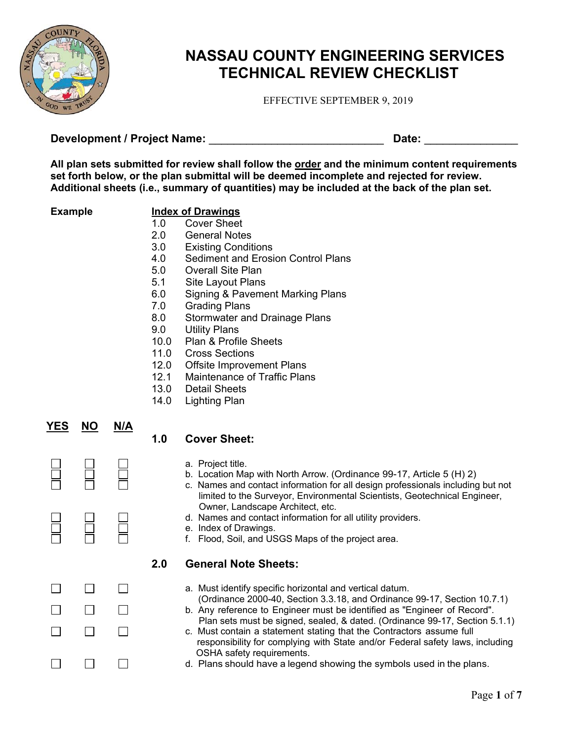

# **NASSAU COUNTY ENGINEERING SERVICES TECHNICAL REVIEW CHECKLIST**

EFFECTIVE SEPTEMBER 9, 2019

**Development / Project Name:** \_\_\_\_\_\_\_\_\_\_\_\_\_\_\_\_\_\_\_\_\_\_\_\_\_\_\_\_ **Date:** \_\_\_\_\_\_\_\_\_\_\_\_\_\_\_

**All plan sets submitted for review shall follow the order and the minimum content requirements set forth below, or the plan submittal will be deemed incomplete and rejected for review. Additional sheets (i.e., summary of quantities) may be included at the back of the plan set.** 

## **Example Index of Drawings**

- 1.0 Cover Sheet
- 2.0 General Notes 3.0 Existing Conditions
- 4.0 Sediment and Erosion Control Plans
- 5.0 Overall Site Plan
- 5.1 Site Layout Plans
- 6.0 Signing & Pavement Marking Plans
- 7.0 Grading Plans
- 8.0 Stormwater and Drainage Plans
- 9.0 Utility Plans
- 10.0 Plan & Profile Sheets
- 11.0 Cross Sections
- 12.0 Offsite Improvement Plans
- 12.1 Maintenance of Traffic Plans
- 13.0 Detail Sheets
- 14.0 Lighting Plan

|        | <u>YES NO</u> | N/A          |
|--------|---------------|--------------|
| Ħ      | 旨             | Ħ            |
| Ħ      | Ħ             | Ħ            |
| Ľ<br>┓ | I.<br>$\Box$  | $\mathbf{L}$ |
|        |               |              |

# **1.0 Cover Sheet:**

- a. Project title.
- b. Location Map with North Arrow. (Ordinance 99-17, Article 5 (H) 2)
- c. Names and contact information for all design professionals including but not limited to the Surveyor, Environmental Scientists, Geotechnical Engineer, Owner, Landscape Architect, etc.
- d. Names and contact information for all utility providers.
- e. Index of Drawings.
- f. Flood, Soil, and USGS Maps of the project area.

### **2.0 General Note Sheets:**

- a. Must identify specific horizontal and vertical datum.
- (Ordinance 2000-40, Section 3.3.18, and Ordinance 99-17, Section 10.7.1) b. Any reference to Engineer must be identified as "Engineer of Record".
- Plan sets must be signed, sealed, & dated. (Ordinance 99-17, Section 5.1.1) c. Must contain a statement stating that the Contractors assume full
- responsibility for complying with State and/or Federal safety laws, including OSHA safety requirements.
- d. Plans should have a legend showing the symbols used in the plans.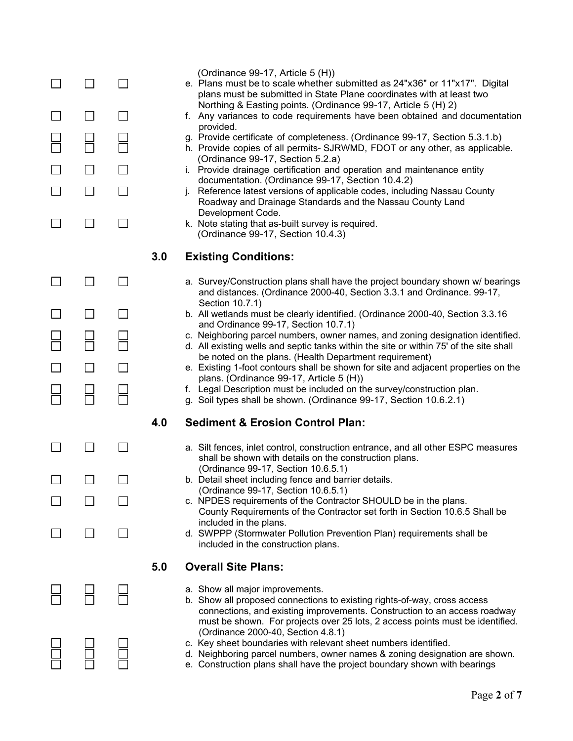|  |                             |     | (Ordinance 99-17, Article 5 (H))<br>e. Plans must be to scale whether submitted as 24"x36" or 11"x17". Digital<br>plans must be submitted in State Plane coordinates with at least two                                                                                    |
|--|-----------------------------|-----|---------------------------------------------------------------------------------------------------------------------------------------------------------------------------------------------------------------------------------------------------------------------------|
|  | $\Box$                      |     | Northing & Easting points. (Ordinance 99-17, Article 5 (H) 2)<br>f. Any variances to code requirements have been obtained and documentation<br>provided.                                                                                                                  |
|  |                             |     | g. Provide certificate of completeness. (Ordinance 99-17, Section 5.3.1.b)<br>h. Provide copies of all permits- SJRWMD, FDOT or any other, as applicable.<br>(Ordinance 99-17, Section 5.2.a)                                                                             |
|  |                             |     | i. Provide drainage certification and operation and maintenance entity<br>documentation. (Ordinance 99-17, Section 10.4.2)                                                                                                                                                |
|  | $\Box$                      |     | Reference latest versions of applicable codes, including Nassau County<br>Roadway and Drainage Standards and the Nassau County Land<br>Development Code.                                                                                                                  |
|  | $\mathcal{L}_{\mathcal{A}}$ |     | k. Note stating that as-built survey is required.<br>(Ordinance 99-17, Section 10.4.3)                                                                                                                                                                                    |
|  |                             | 3.0 | <b>Existing Conditions:</b>                                                                                                                                                                                                                                               |
|  | $\Box$                      |     | a. Survey/Construction plans shall have the project boundary shown w/ bearings<br>and distances. (Ordinance 2000-40, Section 3.3.1 and Ordinance. 99-17,<br>Section 10.7.1)                                                                                               |
|  | $\Box$                      |     | b. All wetlands must be clearly identified. (Ordinance 2000-40, Section 3.3.16<br>and Ordinance 99-17, Section 10.7.1)                                                                                                                                                    |
|  |                             |     | c. Neighboring parcel numbers, owner names, and zoning designation identified.<br>d. All existing wells and septic tanks within the site or within 75' of the site shall                                                                                                  |
|  |                             |     | be noted on the plans. (Health Department requirement)<br>e. Existing 1-foot contours shall be shown for site and adjacent properties on the<br>plans. (Ordinance 99-17, Article 5 (H))                                                                                   |
|  |                             |     | f. Legal Description must be included on the survey/construction plan.<br>g. Soil types shall be shown. (Ordinance 99-17, Section 10.6.2.1)                                                                                                                               |
|  |                             | 4.0 | <b>Sediment &amp; Erosion Control Plan:</b>                                                                                                                                                                                                                               |
|  |                             |     | a. Silt fences, inlet control, construction entrance, and all other ESPC measures<br>shall be shown with details on the construction plans.<br>(Ordinance 99-17, Section 10.6.5.1)                                                                                        |
|  |                             |     | b. Detail sheet including fence and barrier details.<br>(Ordinance 99-17, Section 10.6.5.1)                                                                                                                                                                               |
|  |                             |     | c. NPDES requirements of the Contractor SHOULD be in the plans.<br>County Requirements of the Contractor set forth in Section 10.6.5 Shall be                                                                                                                             |
|  |                             |     | included in the plans.<br>d. SWPPP (Stormwater Pollution Prevention Plan) requirements shall be<br>included in the construction plans.                                                                                                                                    |
|  |                             | 5.0 | <b>Overall Site Plans:</b>                                                                                                                                                                                                                                                |
|  |                             |     | a. Show all major improvements.<br>b. Show all proposed connections to existing rights-of-way, cross access<br>connections, and existing improvements. Construction to an access roadway<br>must be shown. For projects over 25 lots, 2 access points must be identified. |
|  |                             |     | (Ordinance 2000-40, Section 4.8.1)<br>c. Key sheet boundaries with relevant sheet numbers identified.<br>d. Neighboring parcel numbers, owner names & zoning designation are shown.<br>e. Construction plans shall have the project boundary shown with bearings          |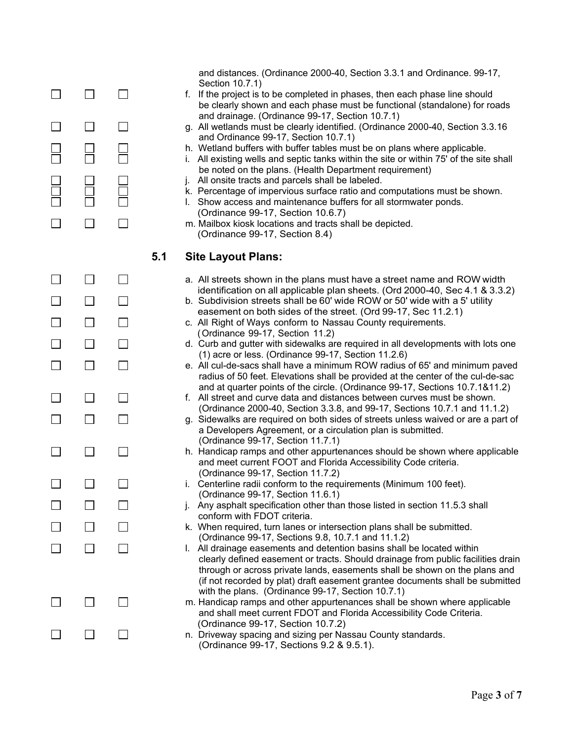|  |     | and distances. (Ordinance 2000-40, Section 3.3.1 and Ordinance. 99-17,<br>Section 10.7.1)<br>f. If the project is to be completed in phases, then each phase line should<br>be clearly shown and each phase must be functional (standalone) for roads<br>and drainage. (Ordinance 99-17, Section 10.7.1)<br>g. All wetlands must be clearly identified. (Ordinance 2000-40, Section 3.3.16<br>and Ordinance 99-17, Section 10.7.1)<br>h. Wetland buffers with buffer tables must be on plans where applicable.<br>i. All existing wells and septic tanks within the site or within 75' of the site shall<br>be noted on the plans. (Health Department requirement)<br>j. All onsite tracts and parcels shall be labeled.<br>k. Percentage of impervious surface ratio and computations must be shown.<br>I. Show access and maintenance buffers for all stormwater ponds.<br>(Ordinance 99-17, Section 10.6.7)<br>m. Mailbox kiosk locations and tracts shall be depicted.<br>(Ordinance 99-17, Section 8.4) |
|--|-----|--------------------------------------------------------------------------------------------------------------------------------------------------------------------------------------------------------------------------------------------------------------------------------------------------------------------------------------------------------------------------------------------------------------------------------------------------------------------------------------------------------------------------------------------------------------------------------------------------------------------------------------------------------------------------------------------------------------------------------------------------------------------------------------------------------------------------------------------------------------------------------------------------------------------------------------------------------------------------------------------------------------|
|  | 5.1 | <b>Site Layout Plans:</b>                                                                                                                                                                                                                                                                                                                                                                                                                                                                                                                                                                                                                                                                                                                                                                                                                                                                                                                                                                                    |
|  |     | a. All streets shown in the plans must have a street name and ROW width                                                                                                                                                                                                                                                                                                                                                                                                                                                                                                                                                                                                                                                                                                                                                                                                                                                                                                                                      |
|  |     | identification on all applicable plan sheets. (Ord 2000-40, Sec 4.1 & 3.3.2)<br>b. Subdivision streets shall be 60' wide ROW or 50' wide with a 5' utility                                                                                                                                                                                                                                                                                                                                                                                                                                                                                                                                                                                                                                                                                                                                                                                                                                                   |
|  |     | easement on both sides of the street. (Ord 99-17, Sec 11.2.1)<br>c. All Right of Ways conform to Nassau County requirements.                                                                                                                                                                                                                                                                                                                                                                                                                                                                                                                                                                                                                                                                                                                                                                                                                                                                                 |
|  |     | (Ordinance 99-17, Section 11.2)<br>d. Curb and gutter with sidewalks are required in all developments with lots one                                                                                                                                                                                                                                                                                                                                                                                                                                                                                                                                                                                                                                                                                                                                                                                                                                                                                          |
|  |     | $(1)$ acre or less. (Ordinance 99-17, Section 11.2.6)<br>e. All cul-de-sacs shall have a minimum ROW radius of 65' and minimum paved<br>radius of 50 feet. Elevations shall be provided at the center of the cul-de-sac                                                                                                                                                                                                                                                                                                                                                                                                                                                                                                                                                                                                                                                                                                                                                                                      |
|  |     | and at quarter points of the circle. (Ordinance 99-17, Sections 10.7.1&11.2)<br>f. All street and curve data and distances between curves must be shown.                                                                                                                                                                                                                                                                                                                                                                                                                                                                                                                                                                                                                                                                                                                                                                                                                                                     |
|  |     | (Ordinance 2000-40, Section 3.3.8, and 99-17, Sections 10.7.1 and 11.1.2)<br>g. Sidewalks are required on both sides of streets unless waived or are a part of                                                                                                                                                                                                                                                                                                                                                                                                                                                                                                                                                                                                                                                                                                                                                                                                                                               |
|  |     | a Developers Agreement, or a circulation plan is submitted.<br>(Ordinance 99-17, Section 11.7.1)                                                                                                                                                                                                                                                                                                                                                                                                                                                                                                                                                                                                                                                                                                                                                                                                                                                                                                             |
|  |     | h. Handicap ramps and other appurtenances should be shown where applicable<br>and meet current FOOT and Florida Accessibility Code criteria.                                                                                                                                                                                                                                                                                                                                                                                                                                                                                                                                                                                                                                                                                                                                                                                                                                                                 |
|  |     | (Ordinance 99-17, Section 11.7.2)<br>i. Centerline radii conform to the requirements (Minimum 100 feet).                                                                                                                                                                                                                                                                                                                                                                                                                                                                                                                                                                                                                                                                                                                                                                                                                                                                                                     |
|  |     | (Ordinance 99-17, Section 11.6.1)<br>j. Any asphalt specification other than those listed in section 11.5.3 shall                                                                                                                                                                                                                                                                                                                                                                                                                                                                                                                                                                                                                                                                                                                                                                                                                                                                                            |
|  |     | conform with FDOT criteria.<br>k. When required, turn lanes or intersection plans shall be submitted.                                                                                                                                                                                                                                                                                                                                                                                                                                                                                                                                                                                                                                                                                                                                                                                                                                                                                                        |
|  |     | (Ordinance 99-17, Sections 9.8, 10.7.1 and 11.1.2)<br>I. All drainage easements and detention basins shall be located within                                                                                                                                                                                                                                                                                                                                                                                                                                                                                                                                                                                                                                                                                                                                                                                                                                                                                 |
|  |     | clearly defined easement or tracts. Should drainage from public facilities drain<br>through or across private lands, easements shall be shown on the plans and<br>(if not recorded by plat) draft easement grantee documents shall be submitted<br>with the plans. (Ordinance 99-17, Section 10.7.1)                                                                                                                                                                                                                                                                                                                                                                                                                                                                                                                                                                                                                                                                                                         |
|  |     | m. Handicap ramps and other appurtenances shall be shown where applicable<br>and shall meet current FDOT and Florida Accessibility Code Criteria.                                                                                                                                                                                                                                                                                                                                                                                                                                                                                                                                                                                                                                                                                                                                                                                                                                                            |
|  |     | (Ordinance 99-17, Section 10.7.2)<br>n. Driveway spacing and sizing per Nassau County standards.<br>(Ordinance 99-17, Sections 9.2 & 9.5.1).                                                                                                                                                                                                                                                                                                                                                                                                                                                                                                                                                                                                                                                                                                                                                                                                                                                                 |
|  |     |                                                                                                                                                                                                                                                                                                                                                                                                                                                                                                                                                                                                                                                                                                                                                                                                                                                                                                                                                                                                              |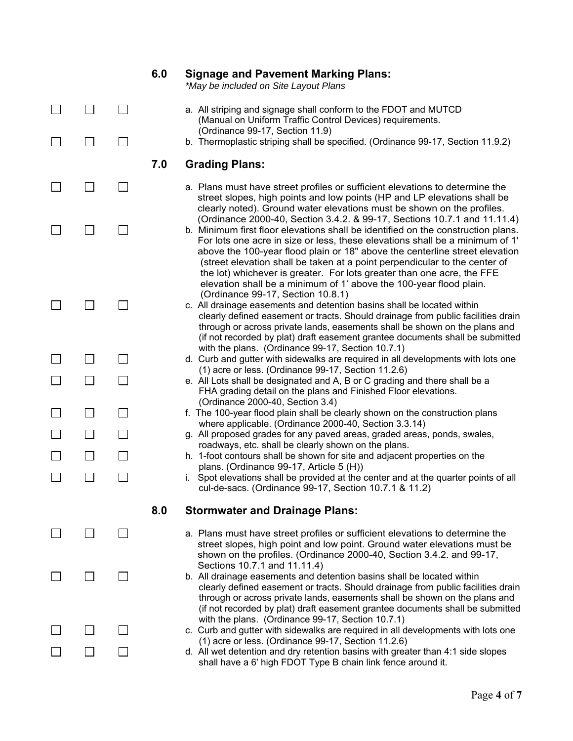|  | 6.0 | <b>Signage and Pavement Marking Plans:</b><br>*May be included on Site Layout Plans                                                                                                                                                                                                                                                                                                                                                                                                                                                                       |
|--|-----|-----------------------------------------------------------------------------------------------------------------------------------------------------------------------------------------------------------------------------------------------------------------------------------------------------------------------------------------------------------------------------------------------------------------------------------------------------------------------------------------------------------------------------------------------------------|
|  |     | a. All striping and signage shall conform to the FDOT and MUTCD<br>(Manual on Uniform Traffic Control Devices) requirements.                                                                                                                                                                                                                                                                                                                                                                                                                              |
|  |     | (Ordinance 99-17, Section 11.9)<br>b. Thermoplastic striping shall be specified. (Ordinance 99-17, Section 11.9.2)                                                                                                                                                                                                                                                                                                                                                                                                                                        |
|  | 7.0 | <b>Grading Plans:</b>                                                                                                                                                                                                                                                                                                                                                                                                                                                                                                                                     |
|  |     | a. Plans must have street profiles or sufficient elevations to determine the<br>street slopes, high points and low points (HP and LP elevations shall be<br>clearly noted). Ground water elevations must be shown on the profiles.                                                                                                                                                                                                                                                                                                                        |
|  |     | (Ordinance 2000-40, Section 3.4.2. & 99-17, Sections 10.7.1 and 11.11.4)<br>b. Minimum first floor elevations shall be identified on the construction plans.<br>For lots one acre in size or less, these elevations shall be a minimum of 1'<br>above the 100-year flood plain or 18" above the centerline street elevation<br>(street elevation shall be taken at a point perpendicular to the center of<br>the lot) whichever is greater. For lots greater than one acre, the FFE<br>elevation shall be a minimum of 1' above the 100-year flood plain. |
|  |     | (Ordinance 99-17, Section 10.8.1)<br>c. All drainage easements and detention basins shall be located within<br>clearly defined easement or tracts. Should drainage from public facilities drain<br>through or across private lands, easements shall be shown on the plans and<br>(if not recorded by plat) draft easement grantee documents shall be submitted                                                                                                                                                                                            |
|  |     | with the plans. (Ordinance 99-17, Section 10.7.1)<br>d. Curb and gutter with sidewalks are required in all developments with lots one                                                                                                                                                                                                                                                                                                                                                                                                                     |
|  |     | $(1)$ acre or less. (Ordinance 99-17, Section 11.2.6)<br>e. All Lots shall be designated and A, B or C grading and there shall be a<br>FHA grading detail on the plans and Finished Floor elevations.<br>(Ordinance 2000-40, Section 3.4)                                                                                                                                                                                                                                                                                                                 |
|  |     | f. The 100-year flood plain shall be clearly shown on the construction plans                                                                                                                                                                                                                                                                                                                                                                                                                                                                              |
|  |     | where applicable. (Ordinance 2000-40, Section 3.3.14)<br>g. All proposed grades for any paved areas, graded areas, ponds, swales,                                                                                                                                                                                                                                                                                                                                                                                                                         |
|  |     | roadways, etc. shall be clearly shown on the plans.<br>h. 1-foot contours shall be shown for site and adjacent properties on the                                                                                                                                                                                                                                                                                                                                                                                                                          |
|  |     | plans. (Ordinance 99-17, Article 5 (H))<br>i. Spot elevations shall be provided at the center and at the quarter points of all<br>cul-de-sacs. (Ordinance 99-17, Section 10.7.1 & 11.2)                                                                                                                                                                                                                                                                                                                                                                   |
|  | 8.0 |                                                                                                                                                                                                                                                                                                                                                                                                                                                                                                                                                           |
|  |     | <b>Stormwater and Drainage Plans:</b>                                                                                                                                                                                                                                                                                                                                                                                                                                                                                                                     |
|  |     | a. Plans must have street profiles or sufficient elevations to determine the<br>street slopes, high point and low point. Ground water elevations must be<br>shown on the profiles. (Ordinance 2000-40, Section 3.4.2. and 99-17,                                                                                                                                                                                                                                                                                                                          |
|  |     | Sections 10.7.1 and 11.11.4)<br>b. All drainage easements and detention basins shall be located within<br>clearly defined easement or tracts. Should drainage from public facilities drain<br>through or across private lands, easements shall be shown on the plans and<br>(if not recorded by plat) draft easement grantee documents shall be submitted                                                                                                                                                                                                 |
|  |     | with the plans. (Ordinance 99-17, Section 10.7.1)<br>c. Curb and gutter with sidewalks are required in all developments with lots one                                                                                                                                                                                                                                                                                                                                                                                                                     |
|  |     | $(1)$ acre or less. (Ordinance 99-17, Section 11.2.6)<br>d. All wet detention and dry retention basins with greater than 4:1 side slopes<br>shall have a 6' high FDOT Type B chain link fence around it.                                                                                                                                                                                                                                                                                                                                                  |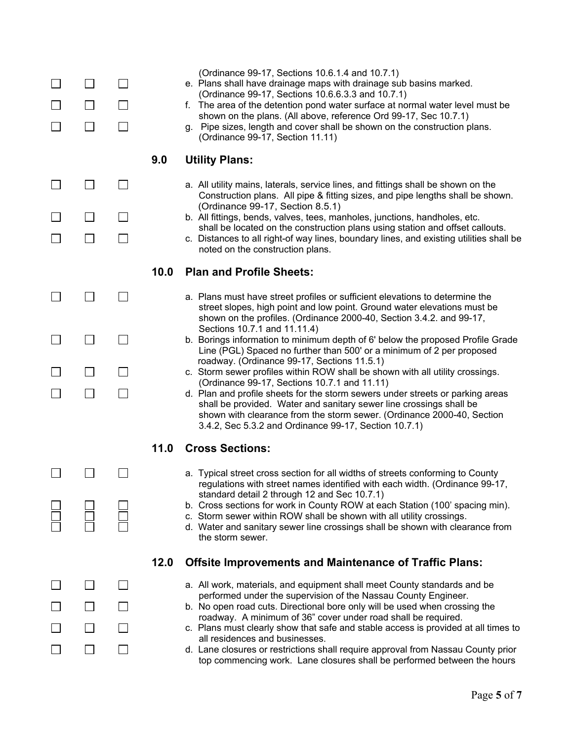| $\mathsf{L}$<br>$\vert \ \ \vert$ |                |      | (Ordinance 99-17, Sections 10.6.1.4 and 10.7.1)<br>e. Plans shall have drainage maps with drainage sub basins marked.<br>(Ordinance 99-17, Sections 10.6.6.3.3 and 10.7.1)<br>f. The area of the detention pond water surface at normal water level must be<br>shown on the plans. (All above, reference Ord 99-17, Sec 10.7.1)<br>g. Pipe sizes, length and cover shall be shown on the construction plans.<br>(Ordinance 99-17, Section 11.11) |
|-----------------------------------|----------------|------|--------------------------------------------------------------------------------------------------------------------------------------------------------------------------------------------------------------------------------------------------------------------------------------------------------------------------------------------------------------------------------------------------------------------------------------------------|
|                                   |                | 9.0  | <b>Utility Plans:</b>                                                                                                                                                                                                                                                                                                                                                                                                                            |
| $\Box$                            |                |      | a. All utility mains, laterals, service lines, and fittings shall be shown on the<br>Construction plans. All pipe & fitting sizes, and pipe lengths shall be shown.                                                                                                                                                                                                                                                                              |
| $\mathsf{L}$                      |                |      | (Ordinance 99-17, Section 8.5.1)<br>b. All fittings, bends, valves, tees, manholes, junctions, handholes, etc.                                                                                                                                                                                                                                                                                                                                   |
| $\mathsf{L}$                      | $\blacksquare$ |      | shall be located on the construction plans using station and offset callouts.<br>c. Distances to all right-of way lines, boundary lines, and existing utilities shall be<br>noted on the construction plans.                                                                                                                                                                                                                                     |
|                                   |                | 10.0 | <b>Plan and Profile Sheets:</b>                                                                                                                                                                                                                                                                                                                                                                                                                  |
|                                   |                |      | a. Plans must have street profiles or sufficient elevations to determine the<br>street slopes, high point and low point. Ground water elevations must be<br>shown on the profiles. (Ordinance 2000-40, Section 3.4.2. and 99-17,                                                                                                                                                                                                                 |
| $\Box$                            | $\blacksquare$ |      | Sections 10.7.1 and 11.11.4)<br>b. Borings information to minimum depth of 6' below the proposed Profile Grade<br>Line (PGL) Spaced no further than 500' or a minimum of 2 per proposed                                                                                                                                                                                                                                                          |
| $\mathsf{L}$                      | $\sim$         |      | roadway. (Ordinance 99-17, Sections 11.5.1)<br>c. Storm sewer profiles within ROW shall be shown with all utility crossings.                                                                                                                                                                                                                                                                                                                     |
| $\Box$                            | $\blacksquare$ |      | (Ordinance 99-17, Sections 10.7.1 and 11.11)<br>d. Plan and profile sheets for the storm sewers under streets or parking areas<br>shall be provided. Water and sanitary sewer line crossings shall be<br>shown with clearance from the storm sewer. (Ordinance 2000-40, Section<br>3.4.2, Sec 5.3.2 and Ordinance 99-17, Section 10.7.1)                                                                                                         |
|                                   |                | 11.0 | <b>Cross Sections:</b>                                                                                                                                                                                                                                                                                                                                                                                                                           |
|                                   |                |      | a. Typical street cross section for all widths of streets conforming to County<br>regulations with street names identified with each width. (Ordinance 99-17,                                                                                                                                                                                                                                                                                    |
|                                   |                |      | standard detail 2 through 12 and Sec 10.7.1)<br>b. Cross sections for work in County ROW at each Station (100' spacing min).<br>c. Storm sewer within ROW shall be shown with all utility crossings.<br>d. Water and sanitary sewer line crossings shall be shown with clearance from<br>the storm sewer.                                                                                                                                        |
|                                   |                | 12.0 | <b>Offsite Improvements and Maintenance of Traffic Plans:</b>                                                                                                                                                                                                                                                                                                                                                                                    |
| $\mathsf{L}$                      |                |      | a. All work, materials, and equipment shall meet County standards and be<br>performed under the supervision of the Nassau County Engineer.                                                                                                                                                                                                                                                                                                       |
| $\Box$                            |                |      | b. No open road cuts. Directional bore only will be used when crossing the                                                                                                                                                                                                                                                                                                                                                                       |
|                                   |                |      | roadway. A minimum of 36" cover under road shall be required.<br>c. Plans must clearly show that safe and stable access is provided at all times to                                                                                                                                                                                                                                                                                              |
| $\mathbf{I}$                      |                |      | all residences and businesses.<br>d. Lane closures or restrictions shall require approval from Nassau County prior<br>top commencing work. Lane closures shall be performed between the hours                                                                                                                                                                                                                                                    |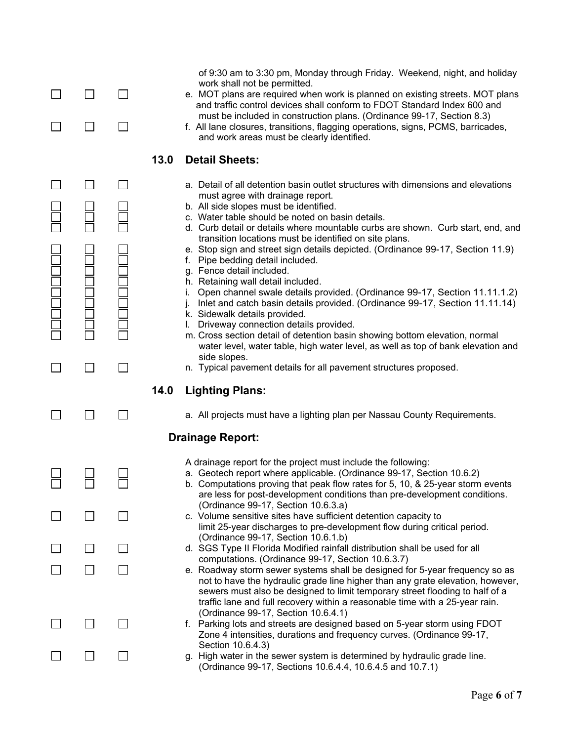|  | of 9:30 am to 3:30 pm, Monday through Friday. Weekend, night, and holiday<br>work shall not be permitted.<br>e. MOT plans are required when work is planned on existing streets. MOT plans<br>and traffic control devices shall conform to FDOT Standard Index 600 and<br>must be included in construction plans. (Ordinance 99-17, Section 8.3)<br>f. All lane closures, transitions, flagging operations, signs, PCMS, barricades,<br>and work areas must be clearly identified.                                                                                                                                                                                                                                                                                                                                                                                                                                                                                                                                                                         |
|--|------------------------------------------------------------------------------------------------------------------------------------------------------------------------------------------------------------------------------------------------------------------------------------------------------------------------------------------------------------------------------------------------------------------------------------------------------------------------------------------------------------------------------------------------------------------------------------------------------------------------------------------------------------------------------------------------------------------------------------------------------------------------------------------------------------------------------------------------------------------------------------------------------------------------------------------------------------------------------------------------------------------------------------------------------------|
|  | 13.0<br><b>Detail Sheets:</b>                                                                                                                                                                                                                                                                                                                                                                                                                                                                                                                                                                                                                                                                                                                                                                                                                                                                                                                                                                                                                              |
|  | a. Detail of all detention basin outlet structures with dimensions and elevations<br>must agree with drainage report.<br>b. All side slopes must be identified.<br>c. Water table should be noted on basin details.<br>d. Curb detail or details where mountable curbs are shown. Curb start, end, and<br>transition locations must be identified on site plans.<br>e. Stop sign and street sign details depicted. (Ordinance 99-17, Section 11.9)<br>Pipe bedding detail included.<br>t.<br>g. Fence detail included.<br>h. Retaining wall detail included.<br>Open channel swale details provided. (Ordinance 99-17, Section 11.11.1.2)<br>Inlet and catch basin details provided. (Ordinance 99-17, Section 11.11.14)<br>k. Sidewalk details provided.<br>Driveway connection details provided.<br>m. Cross section detail of detention basin showing bottom elevation, normal<br>water level, water table, high water level, as well as top of bank elevation and<br>side slopes.<br>n. Typical pavement details for all pavement structures proposed. |
|  | 14.0<br><b>Lighting Plans:</b>                                                                                                                                                                                                                                                                                                                                                                                                                                                                                                                                                                                                                                                                                                                                                                                                                                                                                                                                                                                                                             |
|  | a. All projects must have a lighting plan per Nassau County Requirements.                                                                                                                                                                                                                                                                                                                                                                                                                                                                                                                                                                                                                                                                                                                                                                                                                                                                                                                                                                                  |
|  | <b>Drainage Report:</b>                                                                                                                                                                                                                                                                                                                                                                                                                                                                                                                                                                                                                                                                                                                                                                                                                                                                                                                                                                                                                                    |
|  | A drainage report for the project must include the following:<br>a. Geotech report where applicable. (Ordinance 99-17, Section 10.6.2)<br>b. Computations proving that peak flow rates for 5, 10, & 25-year storm events<br>are less for post-development conditions than pre-development conditions.                                                                                                                                                                                                                                                                                                                                                                                                                                                                                                                                                                                                                                                                                                                                                      |
|  | (Ordinance 99-17, Section 10.6.3.a)<br>c. Volume sensitive sites have sufficient detention capacity to<br>limit 25-year discharges to pre-development flow during critical period.                                                                                                                                                                                                                                                                                                                                                                                                                                                                                                                                                                                                                                                                                                                                                                                                                                                                         |
|  | (Ordinance 99-17, Section 10.6.1.b)<br>d. SGS Type II Florida Modified rainfall distribution shall be used for all                                                                                                                                                                                                                                                                                                                                                                                                                                                                                                                                                                                                                                                                                                                                                                                                                                                                                                                                         |
|  | computations. (Ordinance 99-17, Section 10.6.3.7)<br>e. Roadway storm sewer systems shall be designed for 5-year frequency so as<br>not to have the hydraulic grade line higher than any grate elevation, however,<br>sewers must also be designed to limit temporary street flooding to half of a<br>traffic lane and full recovery within a reasonable time with a 25-year rain.                                                                                                                                                                                                                                                                                                                                                                                                                                                                                                                                                                                                                                                                         |
|  | (Ordinance 99-17, Section 10.6.4.1)<br>f. Parking lots and streets are designed based on 5-year storm using FDOT<br>Zone 4 intensities, durations and frequency curves. (Ordinance 99-17,                                                                                                                                                                                                                                                                                                                                                                                                                                                                                                                                                                                                                                                                                                                                                                                                                                                                  |
|  | Section 10.6.4.3)<br>g. High water in the sewer system is determined by hydraulic grade line.                                                                                                                                                                                                                                                                                                                                                                                                                                                                                                                                                                                                                                                                                                                                                                                                                                                                                                                                                              |

(Ordinance 99-17, Sections 10.6.4.4, 10.6.4.5 and 10.7.1)